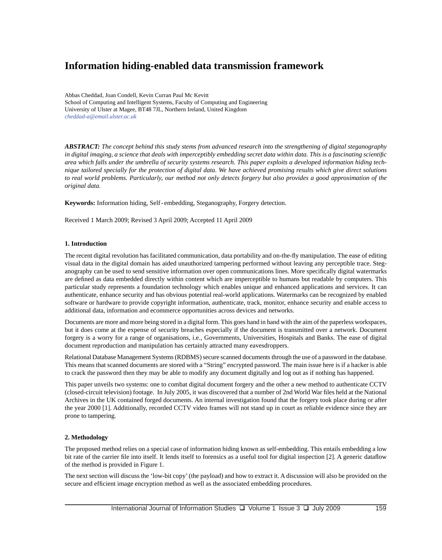# **Information hiding-enabled data transmission framework**

Abbas Cheddad, Joan Condell, Kevin Curran Paul Mc Kevitt School of Computing and Intelligent Systems, Faculty of Computing and Engineering University of Ulster at Magee, BT48 7JL, Northern Ireland, United Kingdom *cheddad-a@email.ulster.ac.uk* 

*ABSTRACT: The concept behind this study stems from advanced research into the strengthening of digital steganography in digital imaging, a science that deals with imperceptibly embedding secret data within data. This is a fascinating scientifi c area which falls under the umbrella of security systems research. This paper exploits a developed information hiding technique tailored specially for the protection of digital data. We have achieved promising results which give direct solutions to real world problems. Particularly, our method not only detects forgery but also provides a good approximation of the original data.*

**Keywords:** Information hiding, Self - embedding, Steganography, Forgery detection.

Received 1 March 2009; Revised 3 April 2009; Accepted 11 April 2009

#### **1. Introduction**

The recent digital revolution has facilitated communication, data portability and on-the-fly manipulation. The ease of editing visual data in the digital domain has aided unauthorized tampering performed without leaving any perceptible trace. Steganography can be used to send sensitive information over open communications lines. More specifically digital watermarks are defined as data embedded directly within content which are imperceptible to humans but readable by computers. This particular study represents a foundation technology which enables unique and enhanced applications and services. It can authenticate, enhance security and has obvious potential real-world applications. Watermarks can be recognized by enabled software or hardware to provide copyright information, authenticate, track, monitor, enhance security and enable access to additional data, information and ecommerce opportunities across devices and networks.

Documents are more and more being stored in a digital form. This goes hand in hand with the aim of the paperless workspaces, but it does come at the expense of security breaches especially if the document is transmitted over a network. Document forgery is a worry for a range of organisations, i.e., Governments, Universities, Hospitals and Banks. The ease of digital document reproduction and manipulation has certainly attracted many eavesdroppers.

Relational Database Management Systems (RDBMS) secure scanned documents through the use of a password in the database. This means that scanned documents are stored with a "String" encrypted password. The main issue here is if a hacker is able to crack the password then they may be able to modify any document digitally and log out as if nothing has happened.

This paper unveils two systems: one to combat digital document forgery and the other a new method to authenticate CCTV (closed-circuit television) footage. In July 2005, it was discovered that a number of 2nd World War fi les held at the National Archives in the UK contained forged documents. An internal investigation found that the forgery took place during or after the year 2000 [1]. Additionally, recorded CCTV video frames will not stand up in court as reliable evidence since they are prone to tampering.

### **2. Methodology**

The proposed method relies on a special case of information hiding known as self-embedding. This entails embedding a low bit rate of the carrier file into itself. It lends itself to forensics as a useful tool for digital inspection [2]. A generic dataflow of the method is provided in Figure 1.

The next section will discuss the 'low-bit copy' (the payload) and how to extract it. A discussion will also be provided on the secure and efficient image encryption method as well as the associated embedding procedures.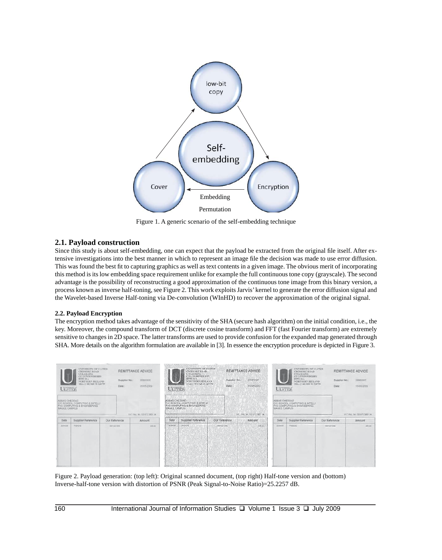

Figure 1. A generic scenario of the self-embedding technique

# **2.1. Payload construction**

Since this study is about self-embedding, one can expect that the payload be extracted from the original file itself. After extensive investigations into the best manner in which to represent an image file the decision was made to use error diffusion. This was found the best fi t to capturing graphics as well as text contents in a given image. The obvious merit of incorporating this method is its low embedding space requirement unlike for example the full continuous tone copy (grayscale). The second advantage is the possibility of reconstructing a good approximation of the continuous tone image from this binary version, a process known as inverse half-toning, see Figure 2. This work exploits Jarvis' kernel to generate the error diffusion signal and the Wavelet-based Inverse Half-toning via De-convolution (WInHD) to recover the approximation of the original signal.

# **2.2. Payload Encryption**

The encryption method takes advantage of the sensitivity of the SHA (secure hash algorithm) on the initial condition, i.e., the key. Moreover, the compound transform of DCT (discrete cosine transform) and FFT (fast Fourier transform) are extremely sensitive to changes in 2D space. The latter transforms are used to provide confusion for the expanded map generated through SHA. More details on the algorithm formulation are available in [3]. In essence the encryption procedure is depicted in Figure 3.



Figure 2. Payload generation: (top left): Original scanned document, (top right) Half-tone version and (bottom) Inverse-half-tone version with distortion of PSNR (Peak Signal-to-Noise Ratio)=25.2257 dB.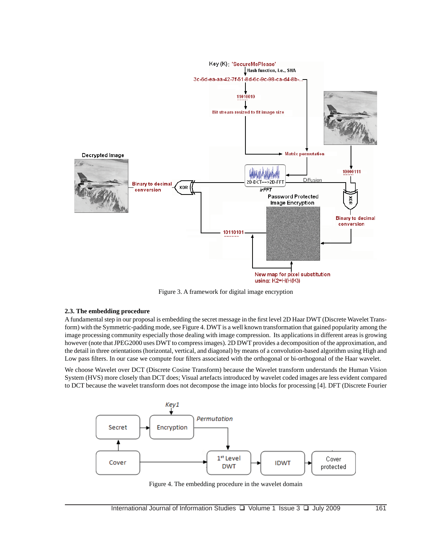

Figure 3. A framework for digital image encryption

## **2.3. The embedding procedure**

A fundamental step in our proposal is embedding the secret message in the first level 2D Haar DWT (Discrete Wavelet Transform) with the Symmetric-padding mode, see Figure 4. DWT is a well known transformation that gained popularity among the image processing community especially those dealing with image compression. Its applications in different areas is growing however (note that JPEG2000 uses DWT to compress images). 2D DWT provides a decomposition of the approximation, and the detail in three orientations (horizontal, vertical, and diagonal) by means of a convolution-based algorithm using High and Low pass filters. In our case we compute four filters associated with the orthogonal or bi-orthogonal of the Haar wavelet.

We choose Wavelet over DCT (Discrete Cosine Transform) because the Wavelet transform understands the Human Vision System (HVS) more closely than DCT does; Visual artefacts introduced by wavelet coded images are less evident compared to DCT because the wavelet transform does not decompose the image into blocks for processing [4]. DFT (Discrete Fourier



Figure 4. The embedding procedure in the wavelet domain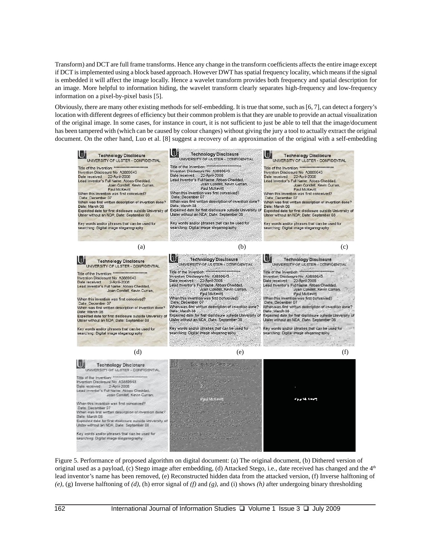Transform) and DCT are full frame transforms. Hence any change in the transform coefficients affects the entire image except if DCT is implemented using a block based approach. However DWT has spatial frequency locality, which means if the signal is embedded it will affect the image locally. Hence a wavelet transform provides both frequency and spatial description for an image. More helpful to information hiding, the wavelet transform clearly separates high-frequency and low-frequency information on a pixel-by-pixel basis [5].

Obviously, there are many other existing methods for self-embedding. It is true that some, such as [6, 7], can detect a forgery's location with different degrees of efficiency but their common problem is that they are unable to provide an actual visualization of the original image. In some cases, for instance in court, it is not sufficient to just be able to tell that the image/document has been tampered with (which can be caused by colour changes) without giving the jury a tool to actually extract the original document. On the other hand, Luo et al. [8] suggest a recovery of an approximation of the original with a self-embedding



Figure 5. Performance of proposed algorithm on digital document: (a) The original document, (b) Dithered version of original used as a payload, (c) Stego image after embedding, (d) Attacked Stego, i.e., date received has changed and the  $4<sup>th</sup>$ lead inventor's name has been removed, (e) Reconstructed hidden data from the attacked version, (f) Inverse halftoning of *(e)*, (g) Inverse halftoning of *(d)*, (h) error signal of *(f)* and *(g)*, and (i) shows *(h)* after undergoing binary thresholding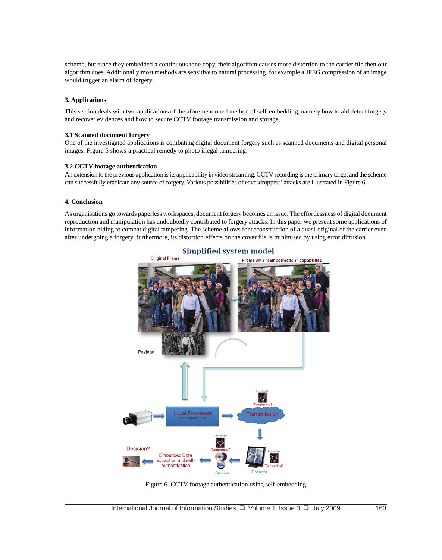scheme, but since they embedded a continuous tone copy, their algorithm causes more distortion to the carrier file then our algorithm does. Additionally most methods are sensitive to natural processing, for example a JPEG compression of an image would trigger an alarm of forgery.

#### **3. Applications**

This section deals with two applications of the aforementioned method of self-embedding, namely how to aid detect forgery and recover evidences and how to secure CCTV footage transmission and storage.

#### **3.1 Scanned document forgery**

One of the investigated applications is combating digital document forgery such as scanned documents and digital personal images. Figure 5 shows a practical remedy to photo illegal tampering.

#### **3.2 CCTV footage authentication**

An extension to the previous application is its applicability in video streaming. CCTV recording is the primary target and the scheme can successfully eradicate any source of forgery. Various possibilities of eavesdroppers' attacks are illustrated in Figure 6.

#### **4. Conclusion**

As organisations go towards paperless workspaces, document forgery becomes an issue. The effortlessness of digital document reproduction and manipulation has undoubtedly contributed to forgery attacks. In this paper we present some applications of information hiding to combat digital tampering. The scheme allows for reconstruction of a quasi-original of the carrier even after undergoing a forgery, furthermore, its distortion effects on the cover file is minimised by using error diffusion.



Figure 6. CCTV footage authentication using self-embedding